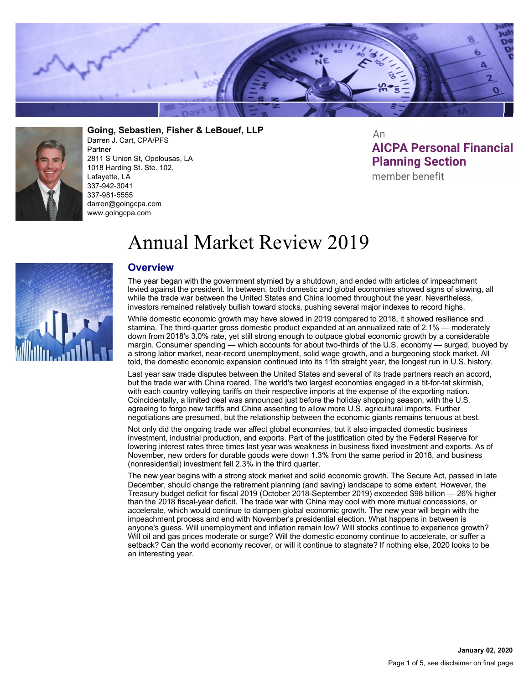



**Going, Sebastien, Fisher & LeBouef, LLP** Darren J. Cart, CPA/PFS Partner 2811 S Union St, Opelousas, LA 1018 Harding St. Ste. 102, Lafayette, LA 337-942-3041 337-981-5555 darren@goingcpa.com

An **AICPA Personal Financial Planning Section** 

member benefit

# Annual Market Review 2019



## **Overview**

www.goingcpa.com

The year began with the government stymied by a shutdown, and ended with articles of impeachment levied against the president. In between, both domestic and global economies showed signs of slowing, all while the trade war between the United States and China loomed throughout the year. Nevertheless, investors remained relatively bullish toward stocks, pushing several major indexes to record highs.

While domestic economic growth may have slowed in 2019 compared to 2018, it showed resilience and stamina. The third-quarter gross domestic product expanded at an annualized rate of 2.1% — moderately down from 2018's 3.0% rate, yet still strong enough to outpace global economic growth by a considerable margin. Consumer spending — which accounts for about two-thirds of the U.S. economy — surged, buoyed by a strong labor market, near-record unemployment, solid wage growth, and a burgeoning stock market. All told, the domestic economic expansion continued into its 11th straight year, the longest run in U.S. history.

Last year saw trade disputes between the United States and several of its trade partners reach an accord, but the trade war with China roared. The world's two largest economies engaged in a tit-for-tat skirmish, with each country volleying tariffs on their respective imports at the expense of the exporting nation. Coincidentally, a limited deal was announced just before the holiday shopping season, with the U.S. agreeing to forgo new tariffs and China assenting to allow more U.S. agricultural imports. Further negotiations are presumed, but the relationship between the economic giants remains tenuous at best.

Not only did the ongoing trade war affect global economies, but it also impacted domestic business investment, industrial production, and exports. Part of the justification cited by the Federal Reserve for lowering interest rates three times last year was weakness in business fixed investment and exports. As of November, new orders for durable goods were down 1.3% from the same period in 2018, and business (nonresidential) investment fell 2.3% in the third quarter.

The new year begins with a strong stock market and solid economic growth. The Secure Act, passed in late December, should change the retirement planning (and saving) landscape to some extent. However, the Treasury budget deficit for fiscal 2019 (October 2018-September 2019) exceeded \$98 billion — 26% higher than the 2018 fiscal-year deficit. The trade war with China may cool with more mutual concessions, or accelerate, which would continue to dampen global economic growth. The new year will begin with the impeachment process and end with November's presidential election. What happens in between is anyone's guess. Will unemployment and inflation remain low? Will stocks continue to experience growth? Will oil and gas prices moderate or surge? Will the domestic economy continue to accelerate, or suffer a setback? Can the world economy recover, or will it continue to stagnate? If nothing else, 2020 looks to be an interesting year.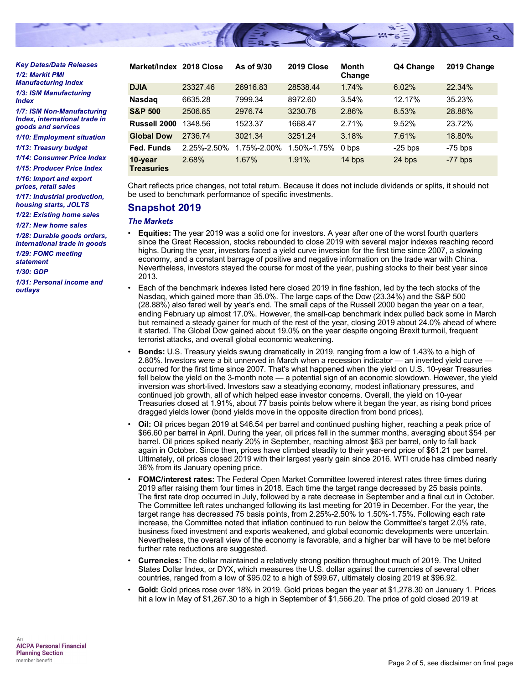

*Key Dates/Data Releases 1/2: Markit PMI Manufacturing Index 1/3: ISM Manufacturing Index 1/7: ISM Non-Manufacturing Index, international trade in*

*goods and services 1/10: Employment situation*

*1/13: Treasury budget*

*1/14: Consumer Price Index*

*1/15: Producer Price Index*

*1/16: Import and export prices, retail sales*

*1/17: Industrial production,*

*housing starts, JOLTS*

*1/22: Existing home sales 1/27: New home sales*

*1/28: Durable goods orders,*

*international trade in goods*

*1/29: FOMC meeting*

*statement*

*1/30: GDP*

*1/31: Personal income and outlays*

| Market/Index 2018 Close      |             | As of 9/30  | 2019 Close  | Month<br>Change | Q4 Change | 2019 Change |
|------------------------------|-------------|-------------|-------------|-----------------|-----------|-------------|
| <b>DJIA</b>                  | 23327.46    | 26916.83    | 28538.44    | 1.74%           | 6.02%     | 22.34%      |
| <b>Nasdag</b>                | 6635.28     | 7999.34     | 8972.60     | 3.54%           | 12.17%    | 35.23%      |
| <b>S&amp;P 500</b>           | 2506.85     | 2976.74     | 3230.78     | 2.86%           | 8.53%     | 28.88%      |
| Russell 2000                 | 1348.56     | 1523.37     | 1668.47     | 2.71%           | 9.52%     | 23.72%      |
| <b>Global Dow</b>            | 2736.74     | 3021.34     | 3251.24     | 3.18%           | 7.61%     | 18.80%      |
| Fed. Funds                   | 2.25%-2.50% | 1.75%-2.00% | 1.50%-1.75% | 0 bps           | $-25$ bps | $-75$ bps   |
| 10-year<br><b>Treasuries</b> | 2.68%       | 1.67%       | 1.91%       | 14 bps          | 24 bps    | $-77$ bps   |

Chart reflects price changes, not total return. Because it does not include dividends or splits, it should not be used to benchmark performance of specific investments.

# **Snapshot 2019**

### *The Markets*

- **Equities:** The year 2019 was a solid one for investors. A year after one of the worst fourth quarters since the Great Recession, stocks rebounded to close 2019 with several major indexes reaching record highs. During the year, investors faced a yield curve inversion for the first time since 2007, a slowing economy, and a constant barrage of positive and negative information on the trade war with China. Nevertheless, investors stayed the course for most of the year, pushing stocks to their best year since 2013.
- Each of the benchmark indexes listed here closed 2019 in fine fashion, led by the tech stocks of the Nasdaq, which gained more than 35.0%. The large caps of the Dow (23.34%) and the S&P 500 (28.88%) also fared well by year's end. The small caps of the Russell 2000 began the year on a tear, ending February up almost 17.0%. However, the small-cap benchmark index pulled back some in March but remained a steady gainer for much of the rest of the year, closing 2019 about 24.0% ahead of where it started. The Global Dow gained about 19.0% on the year despite ongoing Brexit turmoil, frequent terrorist attacks, and overall global economic weakening.
- **Bonds:** U.S. Treasury yields swung dramatically in 2019, ranging from a low of 1.43% to a high of 2.80%. Investors were a bit unnerved in March when a recession indicator — an inverted yield curve occurred for the first time since 2007. That's what happened when the yield on U.S. 10-year Treasuries fell below the yield on the 3-month note — a potential sign of an economic slowdown. However, the yield inversion was short-lived. Investors saw a steadying economy, modest inflationary pressures, and continued job growth, all of which helped ease investor concerns. Overall, the yield on 10-year Treasuries closed at 1.91%, about 77 basis points below where it began the year, as rising bond prices dragged yields lower (bond yields move in the opposite direction from bond prices).
- **Oil:** Oil prices began 2019 at \$46.54 per barrel and continued pushing higher, reaching a peak price of \$66.60 per barrel in April. During the year, oil prices fell in the summer months, averaging about \$54 per barrel. Oil prices spiked nearly 20% in September, reaching almost \$63 per barrel, only to fall back again in October. Since then, prices have climbed steadily to their year-end price of \$61.21 per barrel. Ultimately, oil prices closed 2019 with their largest yearly gain since 2016. WTI crude has climbed nearly 36% from its January opening price.
- **FOMC/interest rates:** The Federal Open Market Committee lowered interest rates three times during 2019 after raising them four times in 2018. Each time the target range decreased by 25 basis points. The first rate drop occurred in July, followed by a rate decrease in September and a final cut in October. The Committee left rates unchanged following its last meeting for 2019 in December. For the year, the target range has decreased 75 basis points, from 2.25%-2.50% to 1.50%-1.75%. Following each rate increase, the Committee noted that inflation continued to run below the Committee's target 2.0% rate, business fixed investment and exports weakened, and global economic developments were uncertain. Nevertheless, the overall view of the economy is favorable, and a higher bar will have to be met before further rate reductions are suggested.
- **Currencies:** The dollar maintained a relatively strong position throughout much of 2019. The United States Dollar Index, or DYX, which measures the U.S. dollar against the currencies of several other countries, ranged from a low of \$95.02 to a high of \$99.67, ultimately closing 2019 at \$96.92.
- **Gold:** Gold prices rose over 18% in 2019. Gold prices began the year at \$1,278.30 on January 1. Prices hit a low in May of \$1,267.30 to a high in September of \$1,566.20. The price of gold closed 2019 at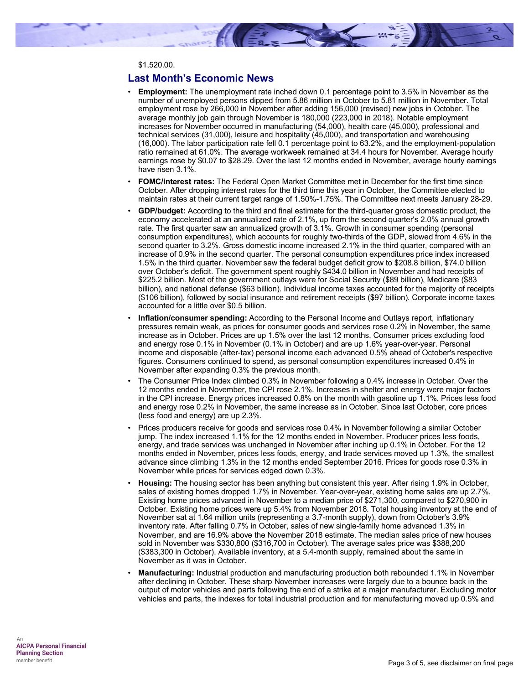

#### \$1,520.00.

## **Last Month's Economic News**

- **Employment:** The unemployment rate inched down 0.1 percentage point to 3.5% in November as the number of unemployed persons dipped from 5.86 million in October to 5.81 million in November. Total employment rose by 266,000 in November after adding 156,000 (revised) new jobs in October. The average monthly job gain through November is 180,000 (223,000 in 2018). Notable employment increases for November occurred in manufacturing (54,000), health care (45,000), professional and technical services (31,000), leisure and hospitality (45,000), and transportation and warehousing (16,000). The labor participation rate fell 0.1 percentage point to 63.2%, and the employment-population ratio remained at 61.0%. The average workweek remained at 34.4 hours for November. Average hourly earnings rose by \$0.07 to \$28.29. Over the last 12 months ended in November, average hourly earnings have risen 3.1%.
- **FOMC/interest rates:** The Federal Open Market Committee met in December for the first time since October. After dropping interest rates for the third time this year in October, the Committee elected to maintain rates at their current target range of 1.50%-1.75%. The Committee next meets January 28-29.
- **GDP/budget:** According to the third and final estimate for the third-quarter gross domestic product, the economy accelerated at an annualized rate of 2.1%, up from the second quarter's 2.0% annual growth rate. The first quarter saw an annualized growth of 3.1%. Growth in consumer spending (personal consumption expenditures), which accounts for roughly two-thirds of the GDP, slowed from 4.6% in the second quarter to 3.2%. Gross domestic income increased 2.1% in the third quarter, compared with an increase of 0.9% in the second quarter. The personal consumption expenditures price index increased 1.5% in the third quarter. November saw the federal budget deficit grow to \$208.8 billion, \$74.0 billion over October's deficit. The government spent roughly \$434.0 billion in November and had receipts of \$225.2 billion. Most of the government outlays were for Social Security (\$89 billion), Medicare (\$83 billion), and national defense (\$63 billion). Individual income taxes accounted for the majority of receipts (\$106 billion), followed by social insurance and retirement receipts (\$97 billion). Corporate income taxes accounted for a little over \$0.5 billion.
- **Inflation/consumer spending:** According to the Personal Income and Outlays report, inflationary pressures remain weak, as prices for consumer goods and services rose 0.2% in November, the same increase as in October. Prices are up 1.5% over the last 12 months. Consumer prices excluding food and energy rose 0.1% in November (0.1% in October) and are up 1.6% year-over-year. Personal income and disposable (after-tax) personal income each advanced 0.5% ahead of October's respective figures. Consumers continued to spend, as personal consumption expenditures increased 0.4% in November after expanding 0.3% the previous month.
- The Consumer Price Index climbed 0.3% in November following a 0.4% increase in October. Over the 12 months ended in November, the CPI rose 2.1%. Increases in shelter and energy were major factors in the CPI increase. Energy prices increased 0.8% on the month with gasoline up 1.1%. Prices less food and energy rose 0.2% in November, the same increase as in October. Since last October, core prices (less food and energy) are up 2.3%.
- Prices producers receive for goods and services rose 0.4% in November following a similar October jump. The index increased 1.1% for the 12 months ended in November. Producer prices less foods, energy, and trade services was unchanged in November after inching up 0.1% in October. For the 12 months ended in November, prices less foods, energy, and trade services moved up 1.3%, the smallest advance since climbing 1.3% in the 12 months ended September 2016. Prices for goods rose 0.3% in November while prices for services edged down 0.3%.
- **Housing:** The housing sector has been anything but consistent this year. After rising 1.9% in October, sales of existing homes dropped 1.7% in November. Year-over-year, existing home sales are up 2.7%. Existing home prices advanced in November to a median price of \$271,300, compared to \$270,900 in October. Existing home prices were up 5.4% from November 2018. Total housing inventory at the end of November sat at 1.64 million units (representing a 3.7-month supply), down from October's 3.9% inventory rate. After falling 0.7% in October, sales of new single-family home advanced 1.3% in November, and are 16.9% above the November 2018 estimate. The median sales price of new houses sold in November was \$330,800 (\$316,700 in October). The average sales price was \$388,200 (\$383,300 in October). Available inventory, at a 5.4-month supply, remained about the same in November as it was in October.
- **Manufacturing:** Industrial production and manufacturing production both rebounded 1.1% in November after declining in October. These sharp November increases were largely due to a bounce back in the output of motor vehicles and parts following the end of a strike at a major manufacturer. Excluding motor vehicles and parts, the indexes for total industrial production and for manufacturing moved up 0.5% and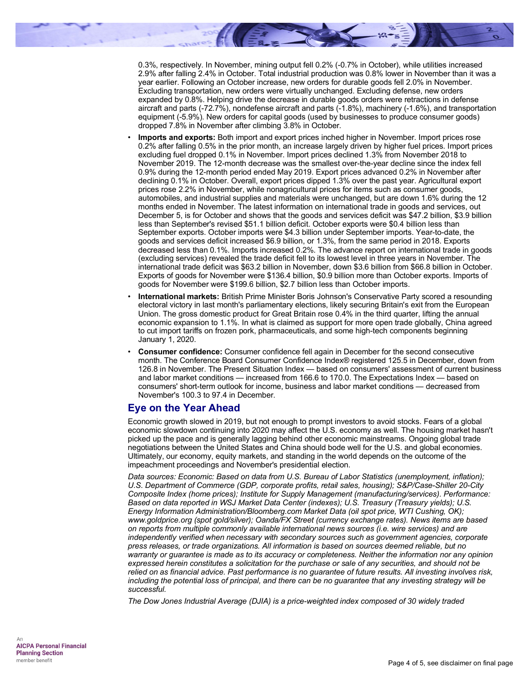0.3%, respectively. In November, mining output fell 0.2% (-0.7% in October), while utilities increased 2.9% after falling 2.4% in October. Total industrial production was 0.8% lower in November than it was a year earlier. Following an October increase, new orders for durable goods fell 2.0% in November. Excluding transportation, new orders were virtually unchanged. Excluding defense, new orders expanded by 0.8%. Helping drive the decrease in durable goods orders were retractions in defense aircraft and parts (-72.7%), nondefense aircraft and parts (-1.8%), machinery (-1.6%), and transportation equipment (-5.9%). New orders for capital goods (used by businesses to produce consumer goods) dropped 7.8% in November after climbing 3.8% in October.

- **Imports and exports:** Both import and export prices inched higher in November. Import prices rose 0.2% after falling 0.5% in the prior month, an increase largely driven by higher fuel prices. Import prices excluding fuel dropped 0.1% in November. Import prices declined 1.3% from November 2018 to November 2019. The 12-month decrease was the smallest over-the-year decline since the index fell 0.9% during the 12-month period ended May 2019. Export prices advanced 0.2% in November after declining 0.1% in October. Overall, export prices dipped 1.3% over the past year. Agricultural export prices rose 2.2% in November, while nonagricultural prices for items such as consumer goods, automobiles, and industrial supplies and materials were unchanged, but are down 1.6% during the 12 months ended in November. The latest information on international trade in goods and services, out December 5, is for October and shows that the goods and services deficit was \$47.2 billion, \$3.9 billion less than September's revised \$51.1 billion deficit. October exports were \$0.4 billion less than September exports. October imports were \$4.3 billion under September imports. Year-to-date, the goods and services deficit increased \$6.9 billion, or 1.3%, from the same period in 2018. Exports decreased less than 0.1%. Imports increased 0.2%. The advance report on international trade in goods (excluding services) revealed the trade deficit fell to its lowest level in three years in November. The international trade deficit was \$63.2 billion in November, down \$3.6 billion from \$66.8 billion in October. Exports of goods for November were \$136.4 billion, \$0.9 billion more than October exports. Imports of goods for November were \$199.6 billion, \$2.7 billion less than October imports.
- **International markets:** British Prime Minister Boris Johnson's Conservative Party scored a resounding electoral victory in last month's parliamentary elections, likely securing Britain's exit from the European Union. The gross domestic product for Great Britain rose 0.4% in the third quarter, lifting the annual economic expansion to 1.1%. In what is claimed as support for more open trade globally, China agreed to cut import tariffs on frozen pork, pharmaceuticals, and some high-tech components beginning January 1, 2020.
- **Consumer confidence:** Consumer confidence fell again in December for the second consecutive month. The Conference Board Consumer Confidence Index® registered 125.5 in December, down from 126.8 in November. The Present Situation Index — based on consumers' assessment of current business and labor market conditions — increased from 166.6 to 170.0. The Expectations Index — based on consumers' short-term outlook for income, business and labor market conditions — decreased from November's 100.3 to 97.4 in December.

# **Eye on the Year Ahead**

Economic growth slowed in 2019, but not enough to prompt investors to avoid stocks. Fears of a global economic slowdown continuing into 2020 may affect the U.S. economy as well. The housing market hasn't picked up the pace and is generally lagging behind other economic mainstreams. Ongoing global trade negotiations between the United States and China should bode well for the U.S. and global economies. Ultimately, our economy, equity markets, and standing in the world depends on the outcome of the impeachment proceedings and November's presidential election.

*Data sources: Economic: Based on data from U.S. Bureau of Labor Statistics (unemployment, inflation); U.S. Department of Commerce (GDP, corporate profits, retail sales, housing); S&P/Case-Shiller 20-City Composite Index (home prices); Institute for Supply Management (manufacturing/services). Performance: Based on data reported in WSJ Market Data Center (indexes); U.S. Treasury (Treasury yields); U.S. Energy Information Administration/Bloomberg.com Market Data (oil spot price, WTI Cushing, OK); www.goldprice.org (spot gold/silver); Oanda/FX Street (currency exchange rates). News items are based on reports from multiple commonly available international news sources (i.e. wire services) and are independently verified when necessary with secondary sources such as government agencies, corporate press releases, or trade organizations. All information is based on sources deemed reliable, but no warranty or guarantee is made as to its accuracy or completeness. Neither the information nor any opinion expressed herein constitutes a solicitation for the purchase or sale of any securities, and should not be relied on as financial advice. Past performance is no guarantee of future results. All investing involves risk, including the potential loss of principal, and there can be no guarantee that any investing strategy will be successful.*

*The Dow Jones Industrial Average (DJIA) is a price-weighted index composed of 30 widely traded*